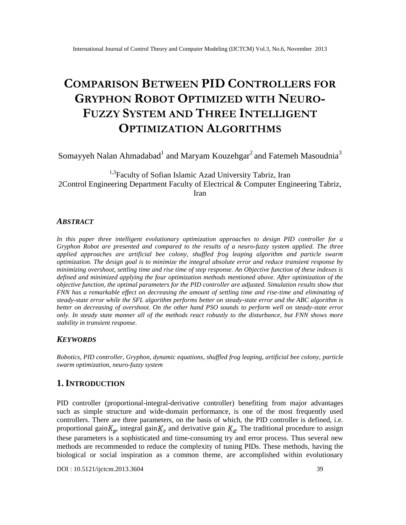# **COMPARISON BETWEEN PID CONTROLLERS FOR GRYPHON ROBOT OPTIMIZED WITH NEURO-FUZZY SYSTEM AND THREE INTELLIGENT OPTIMIZATION ALGORITHMS**

Somayyeh Nalan Ahmadabad $^{\rm l}$  and Maryam Kouzehgar $^{\rm 2}$  and Fatemeh Masoudnia $^{\rm 3}$ 

<sup>1,3</sup> Faculty of Sofian Islamic Azad University Tabriz, Iran 2Control Engineering Department Faculty of Electrical & Computer Engineering Tabriz, Iran

#### *ABSTRACT*

*In this paper three intelligent evolutionary optimization approaches to design PID controller for a Gryphon Robot are presented and compared to the results of a neuro-fuzzy system applied. The three applied approaches are artificial bee colony, shuffled frog leaping algorithm and particle swarm optimization. The design goal is to minimize the integral absolute error and reduce transient response by minimizing overshoot, settling time and rise time of step response. An Objective function of these indexes is defined and minimized applying the four optimization methods mentioned above. After optimization of the objective function, the optimal parameters for the PID controller are adjusted. Simulation results show that FNN has a remarkable effect on decreasing the amount of settling time and rise-time and eliminating of steady-state error while the SFL algorithm performs better on steady-state error and the ABC algorithm is better on decreasing of overshoot. On the other hand PSO sounds to perform well on steady-state error only. In steady state manner all of the methods react robustly to the disturbance, but FNN shows more stability in transient response.*

## *KEYWORDS*

*Robotics, PID controller, Gryphon, dynamic equations, shuffled frog leaping, artificial bee colony, particle swarm optimization, neuro-fuzzy system*

## **1. INTRODUCTION**

PID controller (proportional-integral-derivative controller) benefiting from major advantages such as simple structure and wide-domain performance, is one of the most frequently used controllers. There are three parameters, on the basis of which, the PID controller is defined, i.e. proportional gain  $K_p$ , integral gain  $K_i$ , and derivative gain  $K_d$ . The traditional procedure to assign these parameters is a sophisticated and time-consuming try and error process. Thus several new methods are recommended to reduce the complexity of tuning PIDs. These methods, having the biological or social inspiration as a common theme, are accomplished within evolutionary

DOI : 10.5121/ijctcm.2013.3604 39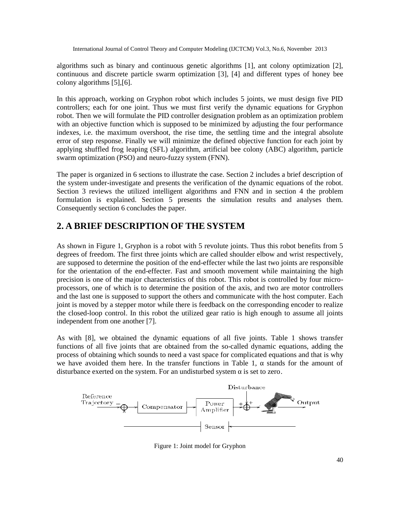algorithms such as binary and continuous genetic algorithms [1], ant colony optimization [2], continuous and discrete particle swarm optimization [3], [4] and different types of honey bee colony algorithms [5],[6].

In this approach, working on Gryphon robot which includes 5 joints, we must design five PID controllers; each for one joint. Thus we must first verify the dynamic equations for Gryphon robot. Then we will formulate the PID controller designation problem as an optimization problem with an objective function which is supposed to be minimized by adjusting the four performance indexes, i.e. the maximum overshoot, the rise time, the settling time and the integral absolute error of step response. Finally we will minimize the defined objective function for each joint by applying shuffled frog leaping (SFL) algorithm, artificial bee colony (ABC) algorithm, particle swarm optimization (PSO) and neuro-fuzzy system (FNN).

The paper is organized in 6 sections to illustrate the case. Section 2 includes a brief description of the system under-investigate and presents the verification of the dynamic equations of the robot. Section 3 reviews the utilized intelligent algorithms and FNN and in section 4 the problem formulation is explained. Section 5 presents the simulation results and analyses them. Consequently section 6 concludes the paper.

# **2. A BRIEF DESCRIPTION OF THE SYSTEM**

As shown in Figure 1, Gryphon is a robot with 5 revolute joints. Thus this robot benefits from 5 degrees of freedom. The first three joints which are called shoulder elbow and wrist respectively, are supposed to determine the position of the end-effecter while the last two joints are responsible for the orientation of the end-effecter. Fast and smooth movement while maintaining the high precision is one of the major characteristics of this robot. This robot is controlled by four microprocessors, one of which is to determine the position of the axis, and two are motor controllers and the last one is supposed to support the others and communicate with the host computer. Each joint is moved by a stepper motor while there is feedback on the corresponding encoder to realize the closed-loop control. In this robot the utilized gear ratio is high enough to assume all joints independent from one another [7].

As with [8], we obtained the dynamic equations of all five joints. Table 1 shows transfer functions of all five joints that are obtained from the so-called dynamic equations, adding the process of obtaining which sounds to need a vast space for complicated equations and that is why we have avoided them here. In the transfer functions in Table 1, stands for the amount of disturbance exerted on the system. For an undisturbed system is set to zero.



Figure 1: Joint model for Gryphon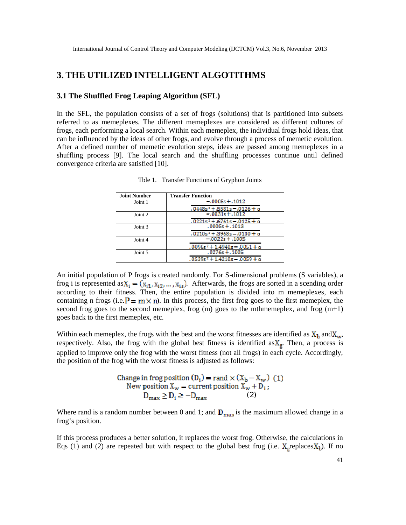# **3. THE UTILIZED INTELLIGENT ALGOTITHMS**

#### **3.1 The Shuffled Frog Leaping Algorithm (SFL)**

In the SFL, the population consists of a set of frogs (solutions) that is partitioned into subsets referred to as memeplexes. The different memeplexes are considered as different cultures of frogs, each performing a local search. Within each memeplex, the individual frogs hold ideas, that can be influenced by the ideas of other frogs, and evolve through a process of memetic evolution. After a defined number of memetic evolution steps, ideas are passed among memeplexes in a shuffling process [9]. The local search and the shuffling processes continue until defined convergence criteria are satisfied [10].

| <b>Joint Number</b> | <b>Transfer Function</b>                 |
|---------------------|------------------------------------------|
| Joint 1             | $-0.00055 + 0.1012$                      |
|                     | ,0448s² + ,5581s – ,0126 + α             |
| Joint 2             | $-0.00315 + 0.1012$                      |
|                     | $.0221s^2+.6761s-.0125+\alpha$           |
| Joint 3             | $.0005s + .1013$                         |
|                     | .0210s <sup>2</sup> + .3968s - .0130 + α |
| Joint 4             | $-.00225+.1005$                          |
|                     | $.0096s2 + 1.4940s - .0051 + \alpha$     |
| Joint 5             | $.0276s + .1005$                         |
|                     | $.0539s^2 + 1.4210s - .0059 + \alpha$    |

Tble 1. Transfer Functions of Gryphon Joints

An initial population of P frogs is created randomly. For S-dimensional problems (S variables), a frog i is represented as  $X_i = (x_{i1}, x_{i2}, ..., x_{is})$ . Afterwards, the frogs are sorted in a scending order according to their fitness. Then, the entire population is divided into m memeplexes, each containing n frogs (i.e.  $\mathbf{P} = \mathbf{m} \times \mathbf{n}$ ). In this process, the first frog goes to the first memeplex, the second frog goes to the second memeplex, frog  $(m)$  goes to the mthmemeplex, and frog  $(m+1)$ goes back to the first memeplex, etc.

Within each memeplex, the frogs with the best and the worst fitnesses are identified as  $X_b$  and  $X_w$ , respectively. Also, the frog with the global best fitness is identified as  $X_g$ . Then, a process is applied to improve only the frog with the worst fitness (not all frogs) in each cycle. Accordingly, the position of the frog with the worst fitness is adjusted as follows:

Change in frog position 
$$
(D_i) = \text{rand} \times (X_b - X_w)
$$
 (1)  
New position  $X_w = \text{current position } X_w + D_i$ ;  
 $D_{\text{max}} \ge D_i \ge -D_{\text{max}}$  (2)

Where rand is a random number between 0 and 1; and  $\mathbf{D}_{\text{max}}$  is the maximum allowed change in a frog's position.

If this process produces a better solution, it replaces the worst frog. Otherwise, the calculations in Eqs (1) and (2) are repeated but with respect to the global best frog (i.e.  $X_{\text{e}}$  replaces  $X_{\text{b}}$ ). If no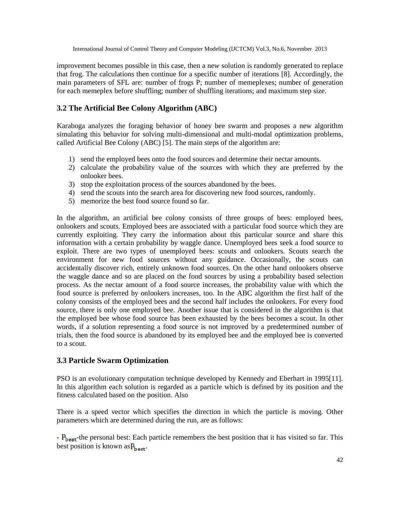improvement becomes possible in this case, then a new solution is randomly generated to replace that frog. The calculations then continue for a specific number of iterations [8]. Accordingly, the main parameters of SFL are: number of frogs P; number of memeplexes; number of generation for each memeplex before shuffling; number of shuffling iterations; and maximum step size.

## **3.2 The Artificial Bee Colony Algorithm (ABC)**

Karaboga analyzes the foraging behavior of honey bee swarm and proposes a new algorithm simulating this behavior for solving multi-dimensional and multi-modal optimization problems, called Artificial Bee Colony (ABC) [5]. The main steps of the algorithm are:

- 1) send the employed bees onto the food sources and determine their nectar amounts.
- 2) calculate the probability value of the sources with which they are preferred by the onlooker bees.
- 3) stop the exploitation process of the sources abandoned by the bees.
- 4) send the scouts into the search area for discovering new food sources, randomly.
- 5) memorize the best food source found so far.

In the algorithm, an artificial bee colony consists of three groups of bees: employed bees, onlookers and scouts. Employed bees are associated with a particular food source which they are currently exploiting. They carry the information about this particular source and share this information with a certain probability by waggle dance. Unemployed bees seek a food source to exploit. There are two types of unemployed bees: scouts and onlookers. Scouts search the environment for new food sources without any guidance. Occasionally, the scouts can accidentally discover rich, entirely unknown food sources. On the other hand onlookers observe the waggle dance and so are placed on the food sources by using a probability based selection process. As the nectar amount of a food source increases, the probability value with which the food source is preferred by onlookers increases, too. In the ABC algorithm the first half of the colony consists of the employed bees and the second half includes the onlookers. For every food source, there is only one employed bee. Another issue that is considered in the algorithm is that the employed bee whose food source has been exhausted by the bees becomes a scout. In other words, if a solution representing a food source is not improved by a predetermined number of trials, then the food source is abandoned by its employed bee and the employed bee is converted to a scout.

## **3.3 Particle Swarm Optimization**

PSO is an evolutionary computation technique developed by Kennedy and Eberhart in 1995[11]. In this algorithm each solution is regarded as a particle which is defined by its position and the fitness calculated based on the position. Also

There is a speed vector which specifies the direction in which the particle is moving. Other parameters which are determined during the run, are as follows:

 $\mathbf{P}_{\text{best}}$ -the personal best: Each particle remembers the best position that it has visited so far. This best position is known as  $P_{\text{best}}$ .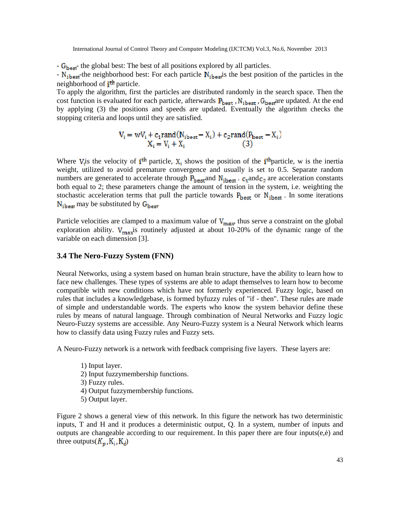- G<sub>best</sub> the global best: The best of all positions explored by all particles.

 $- N_{\text{ibest}}$  the neighborhood best: For each particle  $N_{\text{ibest}}$  is the best position of the particles in the neighborhood of *i*<sup>th</sup> particle.

To apply the algorithm, first the particles are distributed randomly in the search space. Then the cost function is evaluated for each particle, afterwards  $P_{\text{best}}$ ,  $N_{\text{ibest}}$ ,  $G_{\text{best}}$  are updated. At the end by applying (3) the positions and speeds are updated. Eventually the algorithm checks the stopping criteria and loops until they are satisfied.

$$
V_i = wV_i + c_1 \text{rand}(N_{i\text{best}} - X_i) + c_2 \text{rand}(P_{\text{best}} - X_i)
$$
  

$$
X_i = V_i + X_i \tag{3}
$$

Where  $V_i$  is the velocity of *i*<sup>th</sup> particle,  $X_i$  shows the position of the *i*<sup>th</sup>particle, w is the inertia weight, utilized to avoid premature convergence and usually is set to 0.5. Separate random numbers are generated to accelerate through  $P_{\text{best}}$  and  $N_{\text{ibest}}$ .  $c_1$  and  $c_2$  are acceleration constants both equal to 2; these parameters change the amount of tension in the system, i.e. weighting the stochastic acceleration terms that pull the particle towards  $P_{\text{best}}$  or  $N_{\text{ibest}}$ . In some iterations  $N_{\text{ibest}}$  may be substituted by  $G_{\text{best}}$ 

Particle velocities are clamped to a maximum value of  $V_{\text{max}}$ , thus serve a constraint on the global exploration ability.  $V_{\text{max}}$  is routinely adjusted at about 10-20% of the dynamic range of the variable on each dimension [3].

## **3.4 The Nero-Fuzzy System (FNN)**

Neural Networks, using a system based on human brain structure, have the ability to learn how to face new challenges. These types of systems are able to adapt themselves to learn how to become compatible with new conditions which have not formerly experienced. Fuzzy logic, based on rules that includes a knowledgebase, is formed byfuzzy rules of "if - then". These rules are made of simple and understandable words. The experts who know the system behavior define these rules by means of natural language. Through combination of Neural Networks and Fuzzy logic Neuro-Fuzzy systems are accessible. Any Neuro-Fuzzy system is a Neural Network which learns how to classify data using Fuzzy rules and Fuzzy sets.

A Neuro-Fuzzy network is a network with feedback comprising five layers. These layers are:

- 1) Input layer.
- 2) Input fuzzymembership functions.
- 3) Fuzzy rules.
- 4) Output fuzzymembership functions.
- 5) Output layer.

Figure 2 shows a general view of this network. In this figure the network has two deterministic inputs, T and H and it produces a deterministic output, Q. In a system, number of inputs and outputs are changeable according to our requirement. In this paper there are four inputs(e, ) and three outputs( $K_p$ ,  $K_i$ ,  $K_d$ )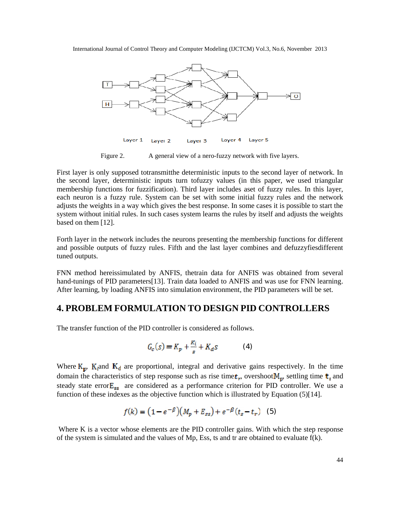

Figure 2. A general view of a nero-fuzzy network with five layers.

First layer is only supposed totransmitthe deterministic inputs to the second layer of network. In the second layer, deterministic inputs turn tofuzzy values (in this paper, we used triangular membership functions for fuzzification). Third layer includes aset of fuzzy rules. In this layer, each neuron is a fuzzy rule. System can be set with some initial fuzzy rules and the network adjusts the weights in a way which gives the best response. In some cases it is possible to start the system without initial rules. In such cases system learns the rules by itself and adjusts the weights based on them [12].

Forth layer in the network includes the neurons presenting the membership functions for different and possible outputs of fuzzy rules. Fifth and the last layer combines and defuzzyfiesdifferent tuned outputs.

FNN method hereissimulated by ANFIS, thetrain data for ANFIS was obtained from several hand-tunings of PID parameters [13]. Train data loaded to ANFIS and was use for FNN learning. After learning, by loading ANFIS into simulation environment, the PID parameters will be set.

## **4. PROBLEM FORMULATION TO DESIGN PID CONTROLLERS**

The transfer function of the PID controller is considered as follows.

$$
G_c(s) = K_p + \frac{\kappa_i}{s} + K_d s \tag{4}
$$

Where  $K_p$ ,  $K_i$  and  $K_d$  are proportional, integral and derivative gains respectively. In the time domain the characteristics of step response such as rise time  $t_r$ , overshoot  $M_p$ , settling time  $t_s$  and steady state error $E_{\text{ss}}$  are considered as a performance criterion for PID controller. We use a function of these indexes as the objective function which is illustrated by Equation (5)[14].

$$
f(k) = (1 - e^{-\beta})(M_p + E_{ss}) + e^{-\beta}(t_s - t_r)
$$
 (5)

Where K is a vector whose elements are the PID controller gains. With which the step response of the system is simulated and the values of Mp, Ess, ts and tr are obtained to evaluate  $f(k)$ .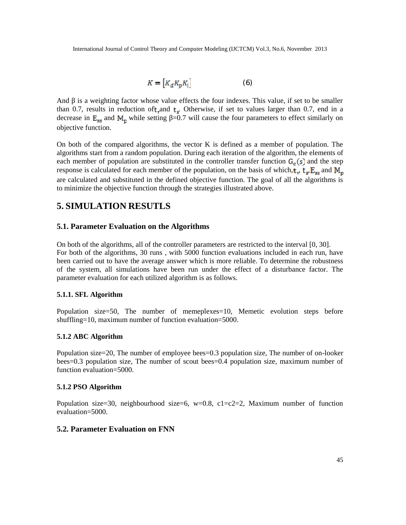$$
K = [K_d K_p K_i] \tag{6}
$$

And is a weighting factor whose value effects the four indexes. This value, if set to be smaller than 0.7, results in reduction of  $t_r$  and  $t_s$ . Otherwise, if set to values larger than 0.7, end in a decrease in  $E_{\text{ss}}$  and  $M_{\text{n}}$  while setting =0.7 will cause the four parameters to effect similarly on objective function.

On both of the compared algorithms, the vector K is defined as a member of population. The algorithms start from a random population. During each iteration of the algorithm, the elements of each member of population are substituted in the controller transfer function  $G_c(s)$  and the step response is calculated for each member of the population, on the basis of which,  $t_r$ ,  $t_s$ ,  $E_{ss}$  and  $M_p$ are calculated and substituted in the defined objective function. The goal of all the algorithms is to minimize the objective function through the strategies illustrated above.

# **5. SIMULATION RESUTLS**

## **5.1. Parameter Evaluation on the Algorithms**

On both of the algorithms, all of the controller parameters are restricted to the interval [0, 30]. For both of the algorithms, 30 runs , with 5000 function evaluations included in each run, have been carried out to have the average answer which is more reliable. To determine the robustness of the system, all simulations have been run under the effect of a disturbance factor. The parameter evaluation for each utilized algorithm is as follows.

#### **5.1.1. SFL Algorithm**

Population size=50, The number of memeplexes=10, Memetic evolution steps before shuffling=10, maximum number of function evaluation=5000.

#### **5.1.2 ABC Algorithm**

Population size=20, The number of employee bees=0.3 population size, The number of on-looker bees=0.3 population size, The number of scout bees=0.4 population size, maximum number of function evaluation=5000.

#### **5.1.2 PSO Algorithm**

Population size=30, neighbourhood size=6,  $w=0.8$ ,  $c1=c2=2$ , Maximum number of function evaluation=5000.

### **5.2. Parameter Evaluation on FNN**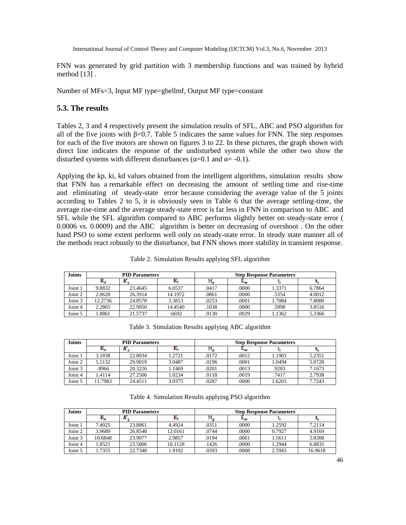FNN was generated by grid partition with 3 membership functions and was trained by hybrid method [13] .

Number of MFs=3, Input MF type=gbellmf, Output MF type=constant

## **5.3. The results**

Tables 2, 3 and 4 respectively present the simulation results of SFL, ABC and PSO algorithm for all of the five joints with  $=0.7$ . Table 5 indicates the same values for FNN. The step responses for each of the five motors are shown on figures 3 to 22. In these pictures, the graph shown with direct line indicates the response of the undisturbed system while the other two show the disturbed systems with different disturbances ( $=0.1$  and  $= -0.1$ ).

Applying the kp, ki, kd values obtained from the intelligent algorithms, simulation results show that FNN has a remarkable effect on decreasing the amount of settling time and rise-time and eliminating of steady-state error because considering the average value of the 5 joints according to Tables 2 to 5, it is obviously seen in Table 6 that the average settling-time, the average rise-time and the average steady-state error is far less in FNN in comparison to ABC and SFL while the SFL algorithm compared to ABC performs slightly better on steady-state error ( 0.0006 vs. 0.0009) and the ABC algorithm is better on decreasing of overshoot . On the other hand PSO to some extent performs well only on steady-state error. In steady state manner all of the methods react robustly to the disturbance, but FNN shows more stability in transient response.

Table 2. Simulation Results applying SFL algorithm

| <b>Joints</b> | <b>PID Parameters</b> |         |         | <b>Step Response Parameters</b> |       |        |        |
|---------------|-----------------------|---------|---------|---------------------------------|-------|--------|--------|
|               | m,                    |         |         |                                 |       |        |        |
| Joint 1       | 9.8832                | 23.4645 | 6.0537  | .0417                           | .0000 | 1.3371 | 6.7864 |
| Joint 2       | 2.0628                | 26.3914 | 14.1972 | .0861                           | .0000 | .5354  | 4.0012 |
| Joint 3       | 12.2736               | 24.8578 | 3.3813  | .0253                           | .0001 | 1.7084 | 7.8000 |
| Joint 4       | 2.2865                | 22.9050 | 14.4540 | .1038                           | .0000 | .5998  | 3.8516 |
| Joint 5       | .8861                 | 21.5737 | .6692   | .0130                           | .0029 | 1.1362 | 5.3366 |

Table 3. Simulation Results applying ABC algorithm

| <b>Joints</b> | <b>PID Parameters</b> |         |        | <b>Step Response Parameters</b> |       |        |        |
|---------------|-----------------------|---------|--------|---------------------------------|-------|--------|--------|
|               | r,                    | л.      |        |                                 |       |        |        |
| Joint 1       | 3.1838                | 22.8034 | 1.2721 | .0172                           | .0012 | 1.1903 | 5.2351 |
| Joint 2       | 5.5132                | 29.9019 | 3.0487 | .0196                           | .0001 | 1.0494 | 5.0728 |
| Joint 3       | .8966                 | 20.3226 | 1.1469 | .0201                           | .0013 | .9203  | 7.1673 |
| Joint 4       | 1.4114                | 27.2506 | 1.0234 | .0118                           | .0019 | .7417  | 2.7938 |
| Joint 5       | 11.7983               | 24.4511 | 3.9375 | .0287                           | .0000 | 1.6203 | 7.7243 |

| <b>Joints</b> | <b>PID Parameters</b> |         |         | <b>Step Response Parameters</b> |       |        |         |
|---------------|-----------------------|---------|---------|---------------------------------|-------|--------|---------|
|               | n,                    |         |         | $1.1 -$                         |       |        |         |
| Joint 1       | 7.4025                | 23.8861 | 4.4924  | .0351                           | .0000 | 1.2592 | 7.2114  |
| Joint 2       | 3.9689                | 26.8548 | 12.0161 | .0744                           | .0000 | 0.7927 | 4.9169  |
| Joint 3       | 10.6848               | 23.9077 | 2.9857  | .0194                           | .0001 | 1.5611 | 5.8308  |
| Joint 4       | 1.8521                | 23.5006 | 10.1128 | .1426                           | .0000 | 1.2944 | 6.8835  |
| Joint 5       | .7355                 | 22.7348 | 1.9102  | .0393                           | .0008 | 2.5943 | 16.9618 |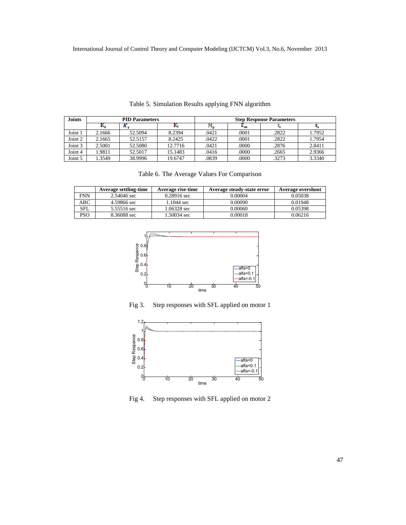| <b>Joints</b> | <b>PID Parameters</b> |         |         | <b>Step Response Parameters</b> |       |       |        |
|---------------|-----------------------|---------|---------|---------------------------------|-------|-------|--------|
|               | n,                    |         |         |                                 |       |       |        |
| Joint 1       | 2.1666                | 52.5094 | 8.2394  | .0421                           | .0001 | .2822 | 1.7952 |
| Joint 2       | 2.1665                | 52.5157 | 8.2425  | .0422                           | .0001 | .2822 | 1.7954 |
| Joint 3       | 2.5001                | 52.5080 | 12.7716 | .0421                           | .0000 | .2876 | 2.8411 |
| Joint 4       | 1.9811                | 52.5017 | 15.1483 | .0416                           | .0000 | .2665 | 2.9366 |
| Joint 5       | .3549                 | 38.9996 | 19.6747 | .0839                           | .0000 | .3273 | 3.3340 |

Table 5. Simulation Results applying FNN algorithm

|  |  | Table 6. The Average Values For Comparison |  |  |  |  |
|--|--|--------------------------------------------|--|--|--|--|
|--|--|--------------------------------------------|--|--|--|--|

|            | <b>Average settling-time</b> | Average rise-time     | Average steady-state error | Average overshoot |
|------------|------------------------------|-----------------------|----------------------------|-------------------|
| <b>FNN</b> | 2.54046 sec                  | $0.28916 \text{ sec}$ | 0.00004                    | 0.05038           |
| ABC        | 4.59866 sec                  | $1.1044 \text{ sec}$  | 0.00090                    | 0.01948           |
| SFL        | 5.55516 sec                  | 1.06328 sec           | 0.00060                    | 0.05398           |
| <b>PSO</b> | 8.36088 sec                  | 1.50034 sec           | 0.00018                    | 0.06216           |



Fig 3. Step responses with SFL applied on motor 1



Fig 4. Step responses with SFL applied on motor 2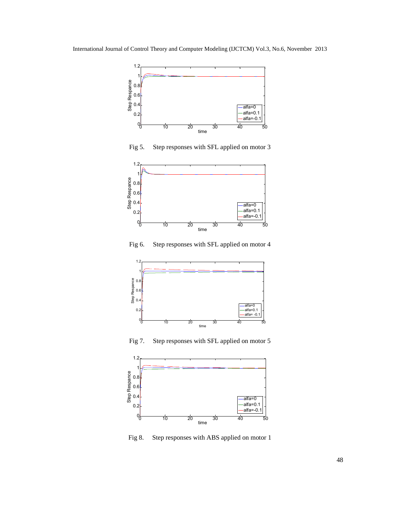

Fig 5. Step responses with SFL applied on motor 3



Fig 6. Step responses with SFL applied on motor 4



Fig 7. Step responses with SFL applied on motor 5



Fig 8. Step responses with ABS applied on motor 1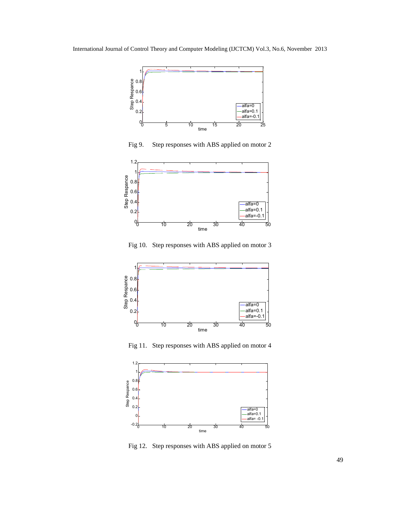

Fig 9. Step responses with ABS applied on motor 2



Fig 10. Step responses with ABS applied on motor 3



Fig 11. Step responses with ABS applied on motor 4



Fig 12. Step responses with ABS applied on motor 5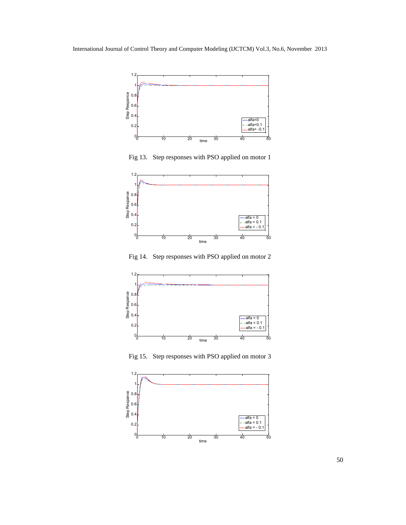

Fig 13. Step responses with PSO applied on motor 1



Fig 14. Step responses with PSO applied on motor 2



Fig 15. Step responses with PSO applied on motor 3

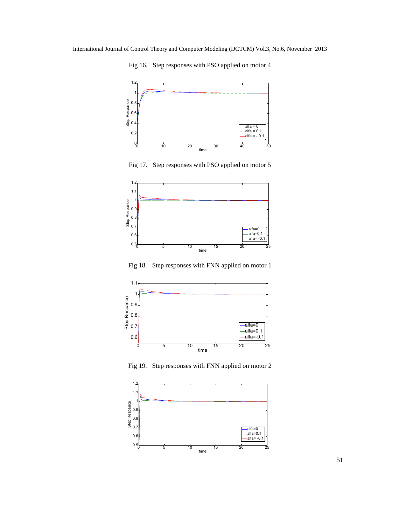Fig 16. Step responses with PSO applied on motor 4



Fig 17. Step responses with PSO applied on motor 5



Fig 18. Step responses with FNN applied on motor 1



Fig 19. Step responses with FNN applied on motor 2

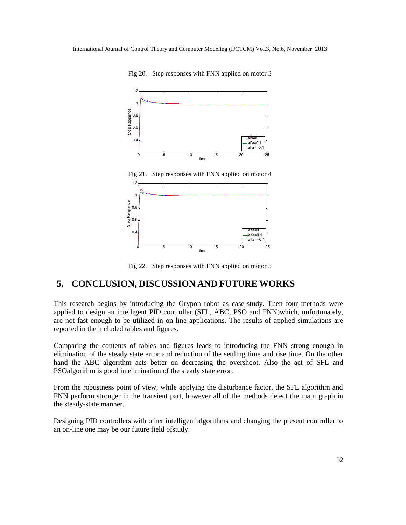

Fig 20. Step responses with FNN applied on motor 3

Fig 21. Step responses with FNN applied on motor 4



Fig 22. Step responses with FNN applied on motor 5

## **5. CONCLUSION, DISCUSSION AND FUTURE WORKS**

This research begins by introducing the Grypon robot as case-study. Then four methods were applied to design an intelligent PID controller (SFL, ABC, PSO and FNN)which, unfortunately, are not fast enough to be utilized in on-line applications. The results of applied simulations are reported in the included tables and figures.

Comparing the contents of tables and figures leads to introducing the FNN strong enough in elimination of the steady state error and reduction of the settling time and rise time. On the other hand the ABC algorithm acts better on decreasing the overshoot. Also the act of SFL and PSOalgorithm is good in elimination of the steady state error.

From the robustness point of view, while applying the disturbance factor, the SFL algorithm and FNN perform stronger in the transient part, however all of the methods detect the main graph in the steady-state manner.

Designing PID controllers with other intelligent algorithms and changing the present controller to an on-line one may be our future field ofstudy.